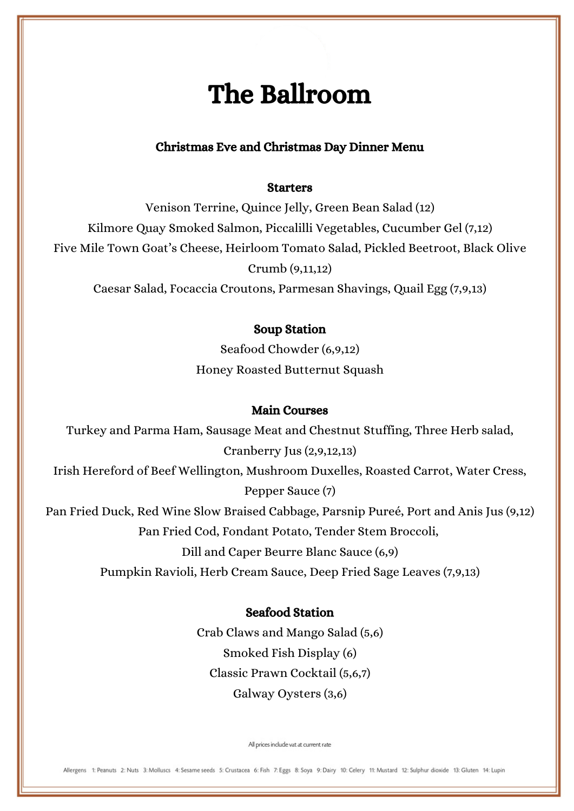# The Ballroom

## Christmas Eve and Christmas Day Dinner Menu

#### **Starters**

Venison Terrine, Quince Jelly, Green Bean Salad (12) Kilmore Quay Smoked Salmon, Piccalilli Vegetables, Cucumber Gel (7,12) Five Mile Town Goat's Cheese, Heirloom Tomato Salad, Pickled Beetroot, Black Olive Crumb (9,11,12)

Caesar Salad, Focaccia Croutons, Parmesan Shavings, Quail Egg (7,9,13)

## Soup Station

Seafood Chowder (6,9,12) Honey Roasted Butternut Squash

#### Main Courses

Turkey and Parma Ham, Sausage Meat and Chestnut Stuffing, Three Herb salad, Cranberry Jus (2,9,12,13)

Irish Hereford of Beef Wellington, Mushroom Duxelles, Roasted Carrot, Water Cress, Pepper Sauce (7)

Pan Fried Duck, Red Wine Slow Braised Cabbage, Parsnip Pureé, Port and Anis Jus (9,12)

Pan Fried Cod, Fondant Potato, Tender Stem Broccoli,

Dill and Caper Beurre Blanc Sauce (6,9)

Pumpkin Ravioli, Herb Cream Sauce, Deep Fried Sage Leaves (7,9,13)

## Seafood Station

Crab Claws and Mango Salad (5,6) Smoked Fish Display (6) Classic Prawn Cocktail (5,6,7) Galway Oysters (3,6)

All prices include vat at current rate

Allergens 1: Peanuts 2: Nuts 3: Molluscs 4: Sesame seeds 5: Crustacea 6: Fish 7: Eggs 8: Soya 9: Dairy 10: Celery 11: Mustard 12: Sulphur dioxide 13: Gluten 14: Lupin